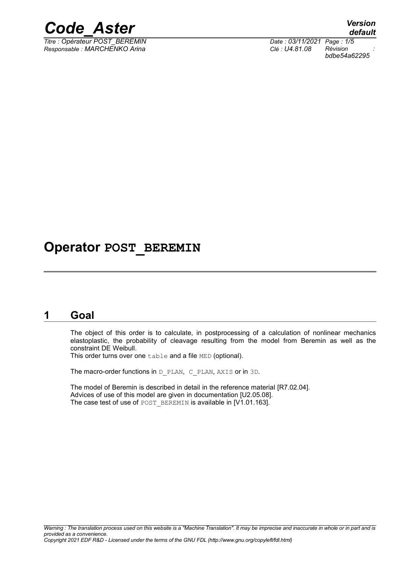

 $Tirre : Opérateur POST BEREMIN$ </u> *Responsable : MARCHENKO Arina Clé : U4.81.08 Révision :*

*default bdbe54a62295*

## **Operator POST\_BEREMIN**

#### **1 Goal**

The object of this order is to calculate, in postprocessing of a calculation of nonlinear mechanics elastoplastic, the probability of cleavage resulting from the model from Beremin as well as the constraint DE Weibull.

This order turns over one table and a file MED (optional).

The macro-order functions in D\_PLAN, C\_PLAN, AXIS or in 3D.

The model of Beremin is described in detail in the reference material [R7.02.04]. Advices of use of this model are given in documentation [U2.05.08]. The case test of use of POST\_BEREMIN is available in [V1.01.163].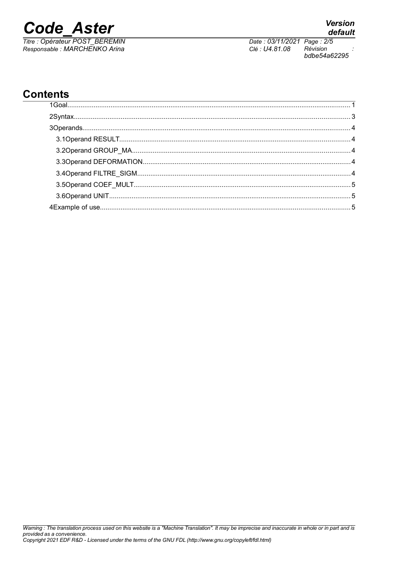**Code Aster** 

Titre : Opérateur POST\_BEREMIN<br>Responsable : MARCHENKO Arina

Date: 03/11/2021 Page: 2/5 Clé : U4.81.08 Révision bdbe54a62295

### **Contents**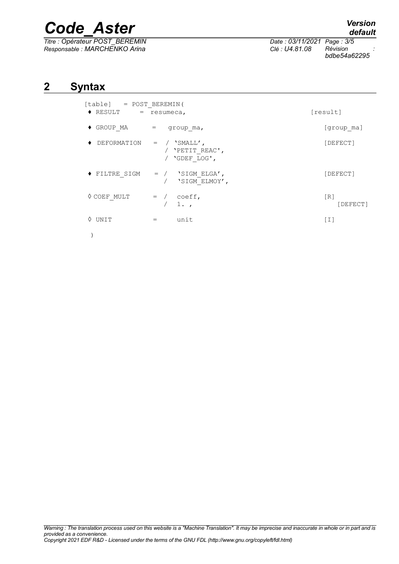# *Code\_Aster Version*

*Titre : Opérateur POST\_BEREMIN Date : 03/11/2021 Page : 3/5 Responsable : MARCHENKO Arina Clé : U4.81.08 Révision :*

*default*

*bdbe54a62295*

#### **2 Syntax**

| [table] = POST BEREMIN(<br>$\blacklozenge$ RESULT<br>$=$ resumeca, | [result]                                                  |                 |
|--------------------------------------------------------------------|-----------------------------------------------------------|-----------------|
| $\blacklozenge$ group ma                                           | group ma,<br>$=$                                          | [group ma]      |
| $\blacklozenge$ DEFORMATION =                                      | $\sqrt{SMLL'}$<br>'PETIT REAC',<br>'GDEF LOG',            | [DEFECT]        |
| ♦ FILTRE SIGM                                                      | $=$ / $\sqrt{S}$ SIGM ELGA $^{\prime}$ ,<br>'SIGM ELMOY', | [DEFECT]        |
| ♦ COEF MULT                                                        | coeff,<br>$=$ /<br>1.7                                    | [R]<br>[DEFECT] |
| ♦ UNIT                                                             | unit<br>$=$                                               | [I]             |
|                                                                    |                                                           |                 |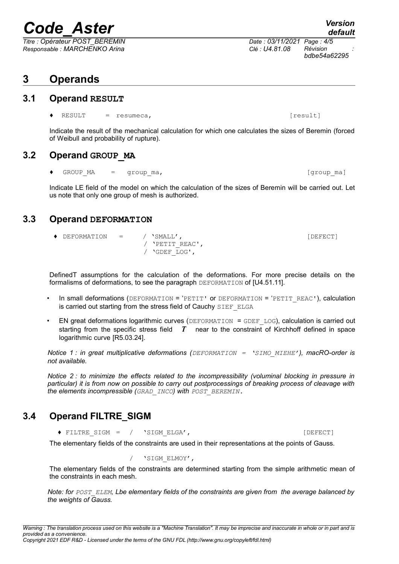# *Code\_Aster Version*

*Titre : Opérateur POST\_BEREMIN Date : 03/11/2021 Page : 4/5 Responsable : MARCHENKO Arina Clé : U4.81.08 Révision :*

### **3 Operands**

#### **3.1 Operand RESULT**

RESULT = resumeca,  $[result]$ 

Indicate the result of the mechanical calculation for which one calculates the sizes of Beremin (forced of Weibull and probability of rupture).

#### **3.2 Operand GROUP\_MA**

GROUP MA = group ma,  $[\text{group mal}]$ 

Indicate LE field of the model on which the calculation of the sizes of Beremin will be carried out. Let us note that only one group of mesh is authorized.

#### **3.3 Operand DEFORMATION**

 ♦ DEFORMATION = / 'SMALL', [DEFECT] / 'PETIT\_REAC', / 'GDEF\_LOG',

DefinedT assumptions for the calculation of the deformations. For more precise details on the formalisms of deformations, to see the paragraph DEFORMATION of [U4.51.11].

- In small deformations (DEFORMATION = 'PETIT' or DEFORMATION = 'PETIT\_REAC'), calculation is carried out starting from the stress field of Cauchy SIEF\_ELGA
- EN great deformations logarithmic curves (DEFORMATION = GDEF\_LOG), calculation is carried out starting from the specific stress field *T* near to the constraint of Kirchhoff defined in space logarithmic curve [R5.03.24].

*Notice 1 : in great multiplicative deformations (DEFORMATION = 'SIMO\_MIEHE'), macRO-order is not available.* 

*Notice 2 : to minimize the effects related to the incompressibility (voluminal blocking in pressure in particular) it is from now on possible to carry out postprocessings of breaking process of cleavage with the elements incompressible (GRAD\_INCO) with POST\_BEREMIN.*

#### **3.4 Operand FILTRE\_SIGM**

◆ FILTRE SIGM = / 'SIGM\_ELGA', [DEFECT]

The elementary fields of the constraints are used in their representations at the points of Gauss.

/ 'SIGM\_ELMOY',

The elementary fields of the constraints are determined starting from the simple arithmetic mean of the constraints in each mesh.

*Note: for POST\_ELEM, Lbe elementary fields of the constraints are given from the average balanced by the weights of Gauss.* 

*default*

*bdbe54a62295*